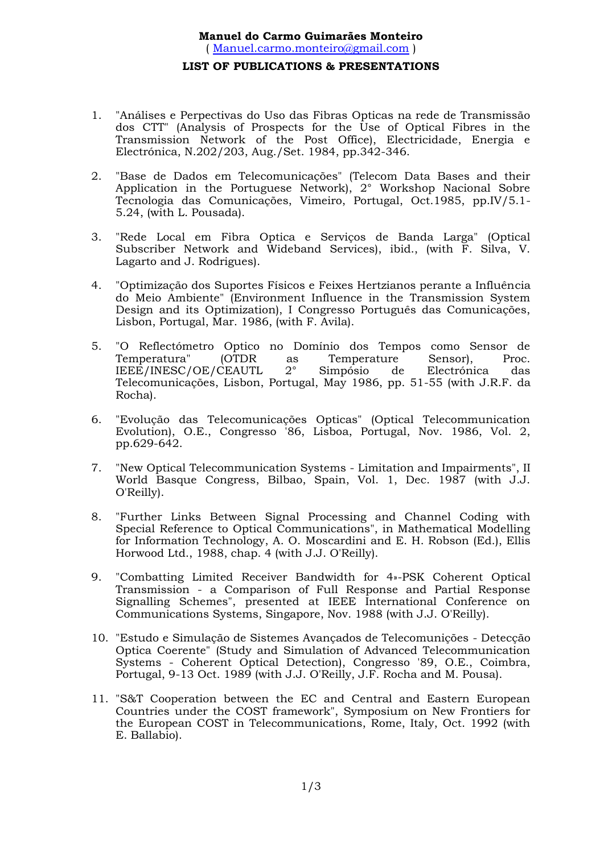## **LIST OF PUBLICATIONS & PRESENTATIONS**

- 1. "Análises e Perpectivas do Uso das Fibras Opticas na rede de Transmissão dos CTT" (Analysis of Prospects for the Use of Optical Fibres in the Transmission Network of the Post Office), Electricidade, Energia e Electrónica, N.202/203, Aug./Set. 1984, pp.342-346.
- 2. "Base de Dados em Telecomunicações" (Telecom Data Bases and their Application in the Portuguese Network), 2° Workshop Nacional Sobre Tecnologia das Comunicações, Vimeiro, Portugal, Oct.1985, pp.IV/5.1- 5.24, (with L. Pousada).
- 3. "Rede Local em Fibra Optica e Serviços de Banda Larga" (Optical Subscriber Network and Wideband Services), ibid., (with F. Silva, V. Lagarto and J. Rodrigues).
- 4. "Optimização dos Suportes Físicos e Feixes Hertzianos perante a Influência do Meio Ambiente" (Environment Influence in the Transmission System Design and its Optimization), I Congresso Português das Comunicações, Lisbon, Portugal, Mar. 1986, (with F. Avila).
- 5. "O Reflectómetro Optico no Domínio dos Tempos como Sensor de Temperatura" (OTDR as Temperature Sensor), Proc.<br>IEEE/INESC/OE/CEAUTL 2° Simpósio de Electrónica das IEEE/INESC/OE/CEAUTL 2° Simpósio de Electrónica das Telecomunicações, Lisbon, Portugal, May 1986, pp. 51-55 (with J.R.F. da Rocha).
- 6. "Evolução das Telecomunicações Opticas" (Optical Telecommunication Evolution), O.E., Congresso '86, Lisboa, Portugal, Nov. 1986, Vol. 2, pp.629-642.
- 7. "New Optical Telecommunication Systems Limitation and Impairments", II World Basque Congress, Bilbao, Spain, Vol. 1, Dec. 1987 (with J.J. O'Reilly).
- 8. "Further Links Between Signal Processing and Channel Coding with Special Reference to Optical Communications", in Mathematical Modelling for Information Technology, A. O. Moscardini and E. H. Robson (Ed.), Ellis Horwood Ltd., 1988, chap. 4 (with J.J. O'Reilly).
- 9. "Combatting Limited Receiver Bandwidth for 4»-PSK Coherent Optical Transmission - a Comparison of Full Response and Partial Response Signalling Schemes", presented at IEEE International Conference on Communications Systems, Singapore, Nov. 1988 (with J.J. O'Reilly).
- 10. "Estudo e Simulação de Sistemes Avançados de Telecomunições Detecção Optica Coerente" (Study and Simulation of Advanced Telecommunication Systems - Coherent Optical Detection), Congresso '89, O.E., Coimbra, Portugal, 9-13 Oct. 1989 (with J.J. O'Reilly, J.F. Rocha and M. Pousa).
- 11. "S&T Cooperation between the EC and Central and Eastern European Countries under the COST framework", Symposium on New Frontiers for the European COST in Telecommunications, Rome, Italy, Oct. 1992 (with E. Ballabio).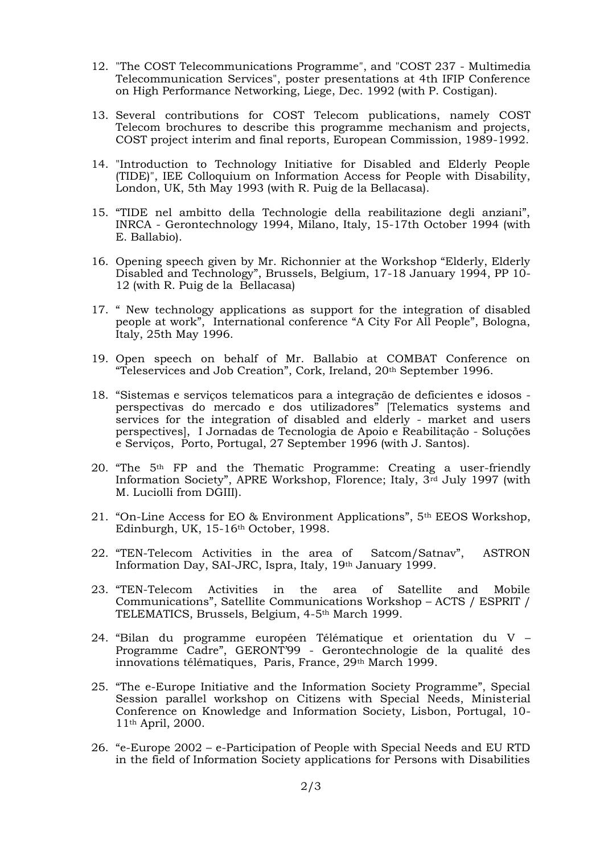- 12. "The COST Telecommunications Programme", and "COST 237 Multimedia Telecommunication Services", poster presentations at 4th IFIP Conference on High Performance Networking, Liege, Dec. 1992 (with P. Costigan).
- 13. Several contributions for COST Telecom publications, namely COST Telecom brochures to describe this programme mechanism and projects, COST project interim and final reports, European Commission, 1989-1992.
- 14. "Introduction to Technology Initiative for Disabled and Elderly People (TIDE)", IEE Colloquium on Information Access for People with Disability, London, UK, 5th May 1993 (with R. Puig de la Bellacasa).
- 15. "TIDE nel ambitto della Technologie della reabilitazione degli anziani", INRCA - Gerontechnology 1994, Milano, Italy, 15-17th October 1994 (with E. Ballabio).
- 16. Opening speech given by Mr. Richonnier at the Workshop "Elderly, Elderly Disabled and Technology", Brussels, Belgium, 17-18 January 1994, PP 10- 12 (with R. Puig de la Bellacasa)
- 17. " New technology applications as support for the integration of disabled people at work", International conference "A City For All People", Bologna, Italy, 25th May 1996.
- 19. Open speech on behalf of Mr. Ballabio at COMBAT Conference on "Teleservices and Job Creation", Cork, Ireland, 20th September 1996.
- 18. "Sistemas e serviços telematicos para a integração de deficientes e idosos perspectivas do mercado e dos utilizadores" [Telematics systems and services for the integration of disabled and elderly - market and users perspectives], I Jornadas de Tecnologia de Apoio e Reabilitação - Soluções e Serviços, Porto, Portugal, 27 September 1996 (with J. Santos).
- 20. "The  $5<sup>th</sup>$  FP and the Thematic Programme: Creating a user-friendly Information Society", APRE Workshop, Florence; Italy, 3rd July 1997 (with M. Luciolli from DGIII).
- 21. "On-Line Access for EO & Environment Applications", 5th EEOS Workshop, Edinburgh, UK, 15-16th October, 1998.
- 22. "TEN-Telecom Activities in the area of Satcom/Satnav", ASTRON Information Day, SAI-JRC, Ispra, Italy, 19th January 1999.
- 23. "TEN-Telecom Activities in the area of Satellite and Mobile Communications", Satellite Communications Workshop – ACTS / ESPRIT / TELEMATICS, Brussels, Belgium, 4-5th March 1999.
- 24. "Bilan du programme européen Télématique et orientation du V Programme Cadre", GERONT'99 - Gerontechnologie de la qualité des innovations télématiques, Paris, France, 29<sup>th</sup> March 1999.
- 25. "The e-Europe Initiative and the Information Society Programme", Special Session parallel workshop on Citizens with Special Needs, Ministerial Conference on Knowledge and Information Society, Lisbon, Portugal, 10- 11th April, 2000.
- 26. "e-Europe 2002 e-Participation of People with Special Needs and EU RTD in the field of Information Society applications for Persons with Disabilities